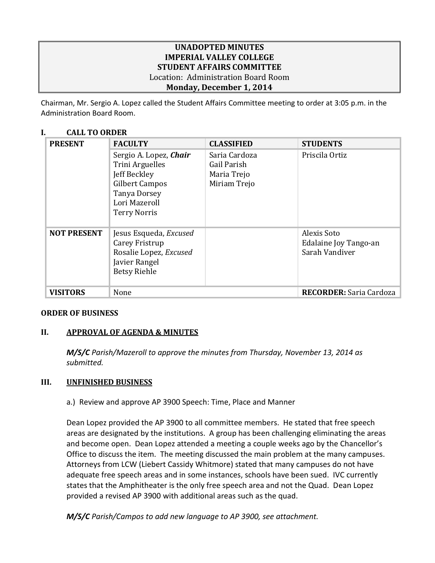# **UNADOPTED MINUTES IMPERIAL VALLEY COLLEGE STUDENT AFFAIRS COMMITTEE** Location: Administration Board Room **Monday, December 1, 2014**

Chairman, Mr. Sergio A. Lopez called the Student Affairs Committee meeting to order at 3:05 p.m. in the Administration Board Room.

# **I. CALL TO ORDER**

| <b>PRESENT</b>     | <b>FACULTY</b>                                                                                                                             | <b>CLASSIFIED</b>                                           | <b>STUDENTS</b>                                        |
|--------------------|--------------------------------------------------------------------------------------------------------------------------------------------|-------------------------------------------------------------|--------------------------------------------------------|
|                    | Sergio A. Lopez, Chair<br>Trini Arguelles<br>Jeff Beckley<br>Gilbert Campos<br><b>Tanya Dorsey</b><br>Lori Mazeroll<br><b>Terry Norris</b> | Saria Cardoza<br>Gail Parish<br>Maria Trejo<br>Miriam Trejo | Priscila Ortiz                                         |
| <b>NOT PRESENT</b> | Jesus Esqueda, Excused<br>Carey Fristrup<br>Rosalie Lopez, Excused<br>Javier Rangel<br><b>Betsy Riehle</b>                                 |                                                             | Alexis Soto<br>Edalaine Joy Tango-an<br>Sarah Vandiver |
| <b>VISITORS</b>    | None                                                                                                                                       |                                                             | <b>RECORDER:</b> Saria Cardoza                         |

## **ORDER OF BUSINESS**

# **II. APPROVAL OF AGENDA & MINUTES**

*M/S/C Parish/Mazeroll to approve the minutes from Thursday, November 13, 2014 as submitted.*

## **III. UNFINISHED BUSINESS**

a.) Review and approve AP 3900 Speech: Time, Place and Manner

Dean Lopez provided the AP 3900 to all committee members. He stated that free speech areas are designated by the institutions. A group has been challenging eliminating the areas and become open. Dean Lopez attended a meeting a couple weeks ago by the Chancellor's Office to discuss the item. The meeting discussed the main problem at the many campuses. Attorneys from LCW (Liebert Cassidy Whitmore) stated that many campuses do not have adequate free speech areas and in some instances, schools have been sued. IVC currently states that the Amphitheater is the only free speech area and not the Quad. Dean Lopez provided a revised AP 3900 with additional areas such as the quad.

*M/S/C Parish/Campos to add new language to AP 3900, see attachment.*